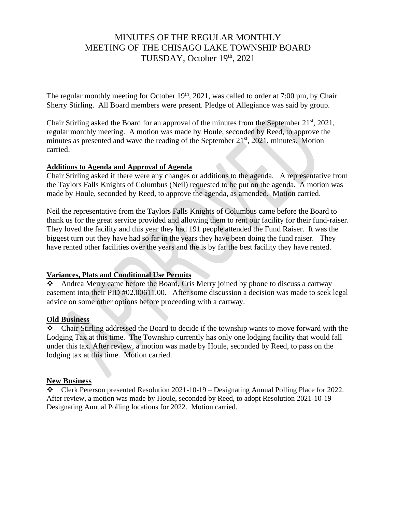# MINUTES OF THE REGULAR MONTHLY MEETING OF THE CHISAGO LAKE TOWNSHIP BOARD TUESDAY, October 19th, 2021

The regular monthly meeting for October  $19<sup>th</sup>$ , 2021, was called to order at 7:00 pm, by Chair Sherry Stirling. All Board members were present. Pledge of Allegiance was said by group.

Chair Stirling asked the Board for an approval of the minutes from the September  $21<sup>st</sup>$ ,  $2021$ , regular monthly meeting. A motion was made by Houle, seconded by Reed, to approve the minutes as presented and wave the reading of the September 21<sup>st</sup>, 2021, minutes. Motion carried.

#### **Additions to Agenda and Approval of Agenda**

Chair Stirling asked if there were any changes or additions to the agenda. A representative from the Taylors Falls Knights of Columbus (Neil) requested to be put on the agenda. A motion was made by Houle, seconded by Reed, to approve the agenda, as amended. Motion carried.

Neil the representative from the Taylors Falls Knights of Columbus came before the Board to thank us for the great service provided and allowing them to rent our facility for their fund-raiser. They loved the facility and this year they had 191 people attended the Fund Raiser. It was the biggest turn out they have had so far in the years they have been doing the fund raiser. They have rented other facilities over the years and the is by far the best facility they have rented.

## **Variances, Plats and Conditional Use Permits**

❖ Andrea Merry came before the Board, Cris Merry joined by phone to discuss a cartway easement into their PID #02.00611.00. After some discussion a decision was made to seek legal advice on some other options before proceeding with a cartway.

## **Old Business**

❖ Chair Stirling addressed the Board to decide if the township wants to move forward with the Lodging Tax at this time. The Township currently has only one lodging facility that would fall under this tax. After review, a motion was made by Houle, seconded by Reed, to pass on the lodging tax at this time. Motion carried.

#### **New Business**

 $\bullet$  Clerk Peterson presented Resolution 2021-10-19 – Designating Annual Polling Place for 2022. After review, a motion was made by Houle, seconded by Reed, to adopt Resolution 2021-10-19 Designating Annual Polling locations for 2022. Motion carried.